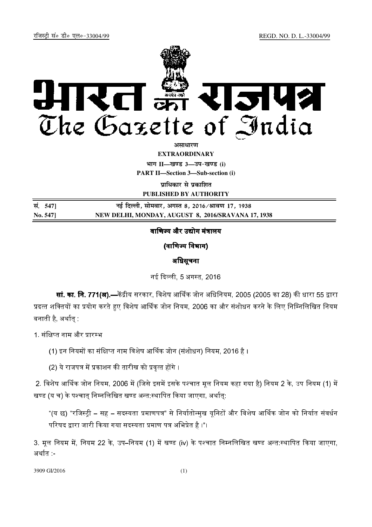

असाधा**र**ण **EXTRAORDINARY**

**Hkkx II—[k.M 3—mi&[k.M (i) PART II—Section 3—Sub-section (i)** 

**पाधिकार से पका**शित

**PUBLISHED BY AUTHORITY**

| सं. 5471 | नई दिल्ली, सोमवार, अगस्त 8, 2016 ⁄ श्रावण 17, 1938 |
|----------|----------------------------------------------------|
| No. 547] | NEW DELHI, MONDAY, AUGUST 8, 2016/SRAVANA 17, 1938 |

# वाणिज्य और उद्योग मंत्रालय

(वाणिज्य विभाग)

# अधिसूचना

नई दिल्ली. 5 अगस्त. 2016.

**सां. का. नि. 771(अ).—**केंद्रीय सरकार, विशेष आर्थिक जोन अधिनियम, 2005 (2005 का 28) की धारा 55 द्वारा प्रदत्त शक्तियों का प्रयोग करते हुए विशेष आर्थिक जोन नियम, 2006 का और संशोधन करने के लिए निम्निलिखित नियम <mark>'</mark> बनाती है. अर्थात

1. संक्षिप्त नाम और प्रारम्भ

(1) इन नियमों का संक्षिप्त नाम विशेष आर्थिक जोन (संशोधन) नियम. 2016 है ।

(2) ये राजपत्र में प्रकाशन की तारीख को प्रवत्त होंगे ।

2. विशेष आर्थिक जोन नियम, 2006 में (जिसे इसमें इसके पश्चात मूल नियम कहा गया है) नियम 2 के, उप नियम (1) में खण्ड (य च) के पश्चात् निम्नलिखित खण्ड अन्त:स्थापित किया जाएगा, अर्थात्:

"(य छ) "रजिस्टी – सह – सदस्यता प्रमाणपत्र" से निर्यातोन्मख यनिटों और विशेष आर्थिक जोन को निर्यात संवर्धन । परिषद द्वारा जारी किया गया सदस्यता प्रमाण पत्र अभिप्रेत है ।"।

3. मूल नियम में, नियम 22 के, उप–नियम (1) में खण्ड (iv) के पश्चात निम्नलिखित खण्ड अन्त:स्थापित किया जाएगा, अर्थात -

3909 GI/2016 (1)